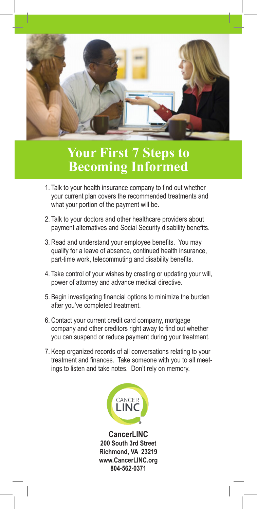

## **Your First 7 Steps to Becoming Informed**

- 1. Talk to your health insurance company to find out whether your current plan covers the recommended treatments and what your portion of the payment will be.
- 2. Talk to your doctors and other healthcare providers about payment alternatives and Social Security disability benefits.
- 3. Read and understand your employee benefits. You may qualify for a leave of absence, continued health insurance, part-time work, telecommuting and disability benefits.
- 4. Take control of your wishes by creating or updating your will, power of attorney and advance medical directive.
- 5. Begin investigating financial options to minimize the burden after you've completed treatment.
- 6. Contact your current credit card company, mortgage company and other creditors right away to find out whether you can suspend or reduce payment during your treatment.
- 7. Keep organized records of all conversations relating to your treatment and finances. Take someone with you to all meetings to listen and take notes. Don't rely on memory.



**CancerLINC 200 South 3rd Street Richmond, VA 23219 www.CancerLINC.org 804-562-0371**